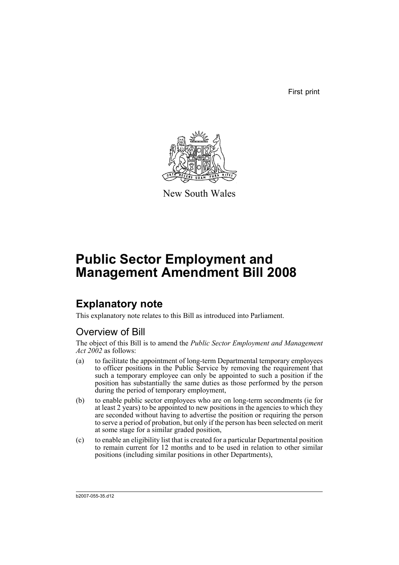First print



New South Wales

# **Public Sector Employment and Management Amendment Bill 2008**

## **Explanatory note**

This explanatory note relates to this Bill as introduced into Parliament.

## Overview of Bill

The object of this Bill is to amend the *Public Sector Employment and Management Act 2002* as follows:

- (a) to facilitate the appointment of long-term Departmental temporary employees to officer positions in the Public Service by removing the requirement that such a temporary employee can only be appointed to such a position if the position has substantially the same duties as those performed by the person during the period of temporary employment,
- (b) to enable public sector employees who are on long-term secondments (ie for at least 2 years) to be appointed to new positions in the agencies to which they are seconded without having to advertise the position or requiring the person to serve a period of probation, but only if the person has been selected on merit at some stage for a similar graded position,
- (c) to enable an eligibility list that is created for a particular Departmental position to remain current for 12 months and to be used in relation to other similar positions (including similar positions in other Departments),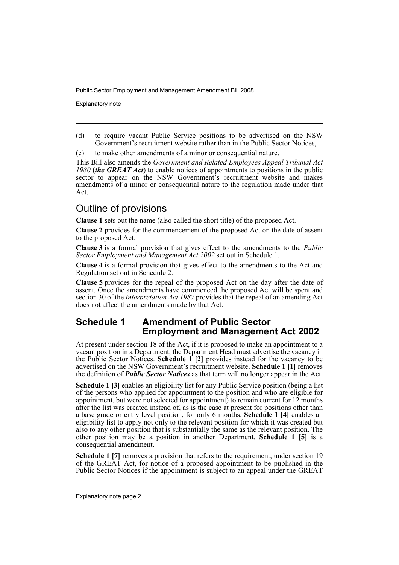Explanatory note

(d) to require vacant Public Service positions to be advertised on the NSW Government's recruitment website rather than in the Public Sector Notices,

(e) to make other amendments of a minor or consequential nature.

This Bill also amends the *Government and Related Employees Appeal Tribunal Act 1980* (*the GREAT Act*) to enable notices of appointments to positions in the public sector to appear on the NSW Government's recruitment website and makes amendments of a minor or consequential nature to the regulation made under that Act.

### Outline of provisions

**Clause 1** sets out the name (also called the short title) of the proposed Act.

**Clause 2** provides for the commencement of the proposed Act on the date of assent to the proposed Act.

**Clause 3** is a formal provision that gives effect to the amendments to the *Public Sector Employment and Management Act 2002* set out in Schedule 1.

**Clause 4** is a formal provision that gives effect to the amendments to the Act and Regulation set out in Schedule 2.

**Clause 5** provides for the repeal of the proposed Act on the day after the date of assent. Once the amendments have commenced the proposed Act will be spent and section 30 of the *Interpretation Act 1987* provides that the repeal of an amending Act does not affect the amendments made by that Act.

### **Schedule 1 Amendment of Public Sector Employment and Management Act 2002**

At present under section 18 of the Act, if it is proposed to make an appointment to a vacant position in a Department, the Department Head must advertise the vacancy in the Public Sector Notices. **Schedule 1 [2]** provides instead for the vacancy to be advertised on the NSW Government's recruitment website. **Schedule 1 [1]** removes the definition of *Public Sector Notices* as that term will no longer appear in the Act.

**Schedule 1 [3]** enables an eligibility list for any Public Service position (being a list of the persons who applied for appointment to the position and who are eligible for appointment, but were not selected for appointment) to remain current for  $12$  months after the list was created instead of, as is the case at present for positions other than a base grade or entry level position, for only 6 months. **Schedule 1 [4]** enables an eligibility list to apply not only to the relevant position for which it was created but also to any other position that is substantially the same as the relevant position. The other position may be a position in another Department. **Schedule 1 [5]** is a consequential amendment.

**Schedule 1** [7] removes a provision that refers to the requirement, under section 19 of the GREAT Act, for notice of a proposed appointment to be published in the Public Sector Notices if the appointment is subject to an appeal under the GREAT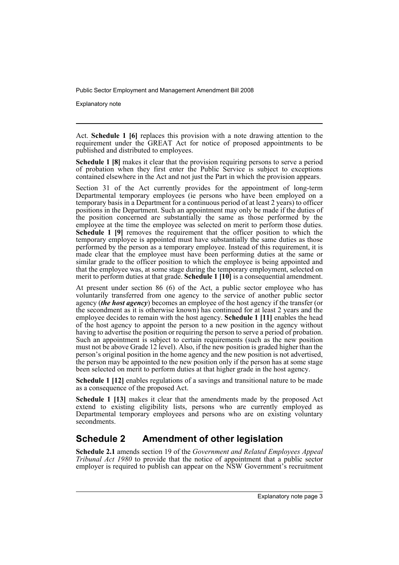Explanatory note

Act. **Schedule 1 [6]** replaces this provision with a note drawing attention to the requirement under the GREAT Act for notice of proposed appointments to be published and distributed to employees.

**Schedule 1 [8]** makes it clear that the provision requiring persons to serve a period of probation when they first enter the Public Service is subject to exceptions contained elsewhere in the Act and not just the Part in which the provision appears.

Section 31 of the Act currently provides for the appointment of long-term Departmental temporary employees (ie persons who have been employed on a temporary basis in a Department for a continuous period of at least 2 years) to officer positions in the Department. Such an appointment may only be made if the duties of the position concerned are substantially the same as those performed by the employee at the time the employee was selected on merit to perform those duties. **Schedule 1 [9]** removes the requirement that the officer position to which the temporary employee is appointed must have substantially the same duties as those performed by the person as a temporary employee. Instead of this requirement, it is made clear that the employee must have been performing duties at the same or similar grade to the officer position to which the employee is being appointed and that the employee was, at some stage during the temporary employment, selected on merit to perform duties at that grade. **Schedule 1 [10]** is a consequential amendment.

At present under section 86 (6) of the Act, a public sector employee who has voluntarily transferred from one agency to the service of another public sector agency (*the host agency*) becomes an employee of the host agency if the transfer (or the secondment as it is otherwise known) has continued for at least 2 years and the employee decides to remain with the host agency. **Schedule 1 [11]** enables the head of the host agency to appoint the person to a new position in the agency without having to advertise the position or requiring the person to serve a period of probation. Such an appointment is subject to certain requirements (such as the new position must not be above Grade 12 level). Also, if the new position is graded higher than the person's original position in the home agency and the new position is not advertised, the person may be appointed to the new position only if the person has at some stage been selected on merit to perform duties at that higher grade in the host agency.

**Schedule 1 [12]** enables regulations of a savings and transitional nature to be made as a consequence of the proposed Act.

**Schedule 1 [13]** makes it clear that the amendments made by the proposed Act extend to existing eligibility lists, persons who are currently employed as Departmental temporary employees and persons who are on existing voluntary secondments.

### **Schedule 2 Amendment of other legislation**

**Schedule 2.1** amends section 19 of the *Government and Related Employees Appeal Tribunal Act 1980* to provide that the notice of appointment that a public sector employer is required to publish can appear on the  $\overrightarrow{NSW}$  Government's recruitment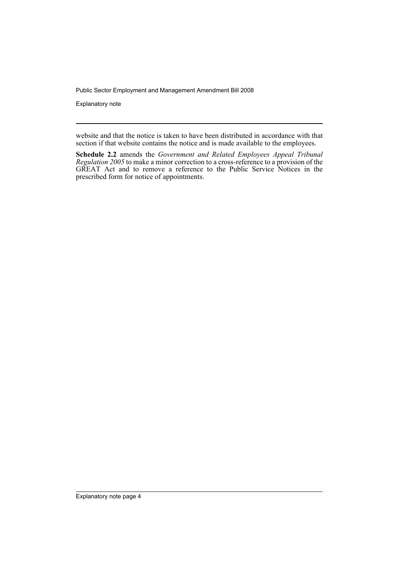Explanatory note

website and that the notice is taken to have been distributed in accordance with that section if that website contains the notice and is made available to the employees.

**Schedule 2.2** amends the *Government and Related Employees Appeal Tribunal Regulation 2005* to make a minor correction to a cross-reference to a provision of the GREAT Act and to remove a reference to the Public Service Notices in the prescribed form for notice of appointments.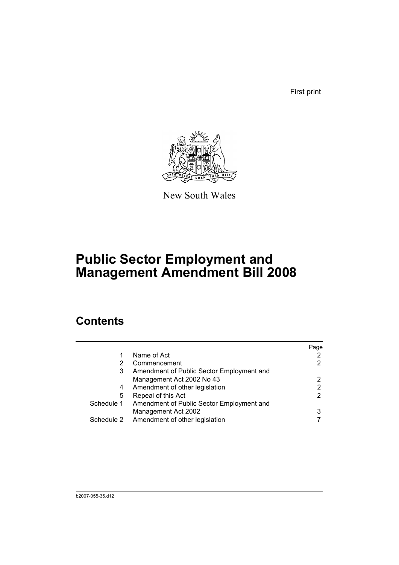First print



New South Wales

# **Public Sector Employment and Management Amendment Bill 2008**

## **Contents**

|            |                                           | Page |
|------------|-------------------------------------------|------|
| 1          | Name of Act                               |      |
| 2          | Commencement                              | 2    |
| 3          | Amendment of Public Sector Employment and |      |
|            | Management Act 2002 No 43                 | 2    |
| 4          | Amendment of other legislation            | 2    |
| 5          | Repeal of this Act                        | 2    |
| Schedule 1 | Amendment of Public Sector Employment and |      |
|            | Management Act 2002                       | 3    |
|            | Schedule 2 Amendment of other legislation |      |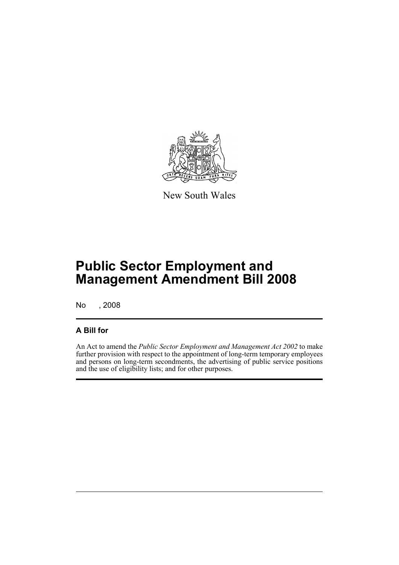

New South Wales

# **Public Sector Employment and Management Amendment Bill 2008**

No , 2008

### **A Bill for**

An Act to amend the *Public Sector Employment and Management Act 2002* to make further provision with respect to the appointment of long-term temporary employees and persons on long-term secondments, the advertising of public service positions and the use of eligibility lists; and for other purposes.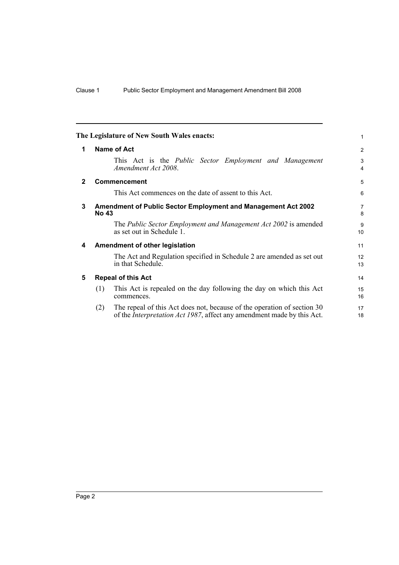<span id="page-7-4"></span><span id="page-7-3"></span><span id="page-7-2"></span><span id="page-7-1"></span><span id="page-7-0"></span>

|              |                                                                               | The Legislature of New South Wales enacts:                                                                                                                | 1                   |  |  |  |
|--------------|-------------------------------------------------------------------------------|-----------------------------------------------------------------------------------------------------------------------------------------------------------|---------------------|--|--|--|
| 1            | Name of Act                                                                   |                                                                                                                                                           |                     |  |  |  |
|              |                                                                               | This Act is the <i>Public Sector Employment and Management</i><br>Amendment Act 2008.                                                                     | 3<br>$\overline{4}$ |  |  |  |
| $\mathbf{2}$ |                                                                               | <b>Commencement</b>                                                                                                                                       | 5                   |  |  |  |
|              |                                                                               | This Act commences on the date of assent to this Act.                                                                                                     | 6                   |  |  |  |
| 3            | Amendment of Public Sector Employment and Management Act 2002<br><b>No 43</b> |                                                                                                                                                           |                     |  |  |  |
|              |                                                                               | The Public Sector Employment and Management Act 2002 is amended<br>as set out in Schedule 1.                                                              | 9<br>10             |  |  |  |
| 4            |                                                                               | Amendment of other legislation                                                                                                                            | 11                  |  |  |  |
|              |                                                                               | The Act and Regulation specified in Schedule 2 are amended as set out<br>in that Schedule.                                                                | 12<br>13            |  |  |  |
| 5            |                                                                               | <b>Repeal of this Act</b>                                                                                                                                 | 14                  |  |  |  |
|              | (1)                                                                           | This Act is repealed on the day following the day on which this Act<br>commences.                                                                         | 15<br>16            |  |  |  |
|              | (2)                                                                           | The repeal of this Act does not, because of the operation of section 30<br>of the <i>Interpretation Act 1987</i> , affect any amendment made by this Act. | 17<br>18            |  |  |  |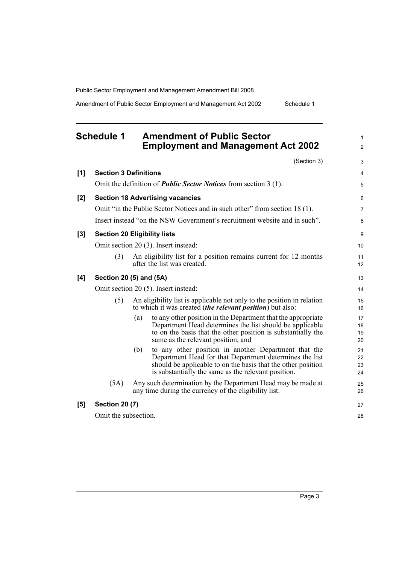Amendment of Public Sector Employment and Management Act 2002 Schedule 1

<span id="page-8-0"></span>

|       | <b>Schedule 1</b>                                                                                                             | <b>Amendment of Public Sector</b><br><b>Employment and Management Act 2002</b>                                                                                                                                                                |                      |  |
|-------|-------------------------------------------------------------------------------------------------------------------------------|-----------------------------------------------------------------------------------------------------------------------------------------------------------------------------------------------------------------------------------------------|----------------------|--|
|       |                                                                                                                               | (Section 3)                                                                                                                                                                                                                                   |                      |  |
| [1]   | <b>Section 3 Definitions</b>                                                                                                  |                                                                                                                                                                                                                                               |                      |  |
|       |                                                                                                                               | Omit the definition of <i>Public Sector Notices</i> from section 3 (1).                                                                                                                                                                       |                      |  |
| [2]   |                                                                                                                               | <b>Section 18 Advertising vacancies</b>                                                                                                                                                                                                       |                      |  |
|       |                                                                                                                               | Omit "in the Public Sector Notices and in such other" from section 18 (1).                                                                                                                                                                    |                      |  |
|       |                                                                                                                               | Insert instead "on the NSW Government's recruitment website and in such".                                                                                                                                                                     |                      |  |
| $[3]$ |                                                                                                                               | <b>Section 20 Eligibility lists</b>                                                                                                                                                                                                           |                      |  |
|       |                                                                                                                               | Omit section 20 (3). Insert instead:                                                                                                                                                                                                          | 10                   |  |
|       | (3)                                                                                                                           | An eligibility list for a position remains current for 12 months<br>after the list was created.                                                                                                                                               | 11<br>12             |  |
| [4]   |                                                                                                                               | Section 20 (5) and (5A)                                                                                                                                                                                                                       | 13                   |  |
|       | Omit section 20 (5). Insert instead:                                                                                          |                                                                                                                                                                                                                                               |                      |  |
|       | (5)                                                                                                                           | An eligibility list is applicable not only to the position in relation<br>to which it was created <i>(the relevant position)</i> but also:                                                                                                    |                      |  |
|       |                                                                                                                               | to any other position in the Department that the appropriate<br>(a)<br>Department Head determines the list should be applicable<br>to on the basis that the other position is substantially the<br>same as the relevant position, and         | 17<br>18<br>19<br>20 |  |
|       |                                                                                                                               | to any other position in another Department that the<br>(b)<br>Department Head for that Department determines the list<br>should be applicable to on the basis that the other position<br>is substantially the same as the relevant position. | 21<br>22<br>23<br>24 |  |
|       | (5A)<br>Any such determination by the Department Head may be made at<br>any time during the currency of the eligibility list. |                                                                                                                                                                                                                                               |                      |  |
| [5]   | <b>Section 20 (7)</b>                                                                                                         |                                                                                                                                                                                                                                               | 27                   |  |
|       | Omit the subsection.                                                                                                          |                                                                                                                                                                                                                                               | 28                   |  |

Page 3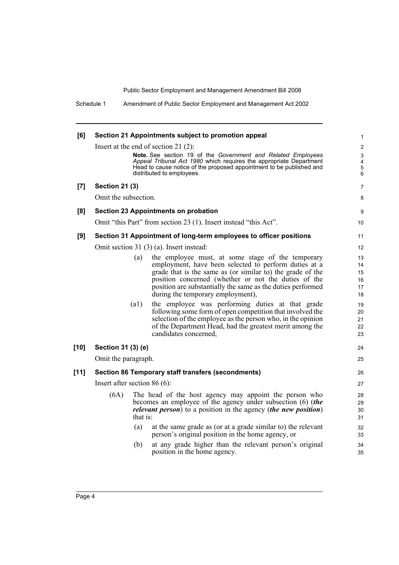Schedule 1 Amendment of Public Sector Employment and Management Act 2002

| [6]    |                                                                                              |                    | Section 21 Appointments subject to promotion appeal                                                                                                                                                                                     | 1                                                   |
|--------|----------------------------------------------------------------------------------------------|--------------------|-----------------------------------------------------------------------------------------------------------------------------------------------------------------------------------------------------------------------------------------|-----------------------------------------------------|
|        |                                                                                              |                    | Insert at the end of section 21 $(2)$ :                                                                                                                                                                                                 | $\overline{2}$                                      |
|        |                                                                                              |                    | Note. See section 19 of the Government and Related Employees<br>Appeal Tribunal Act 1980 which requires the appropriate Department<br>Head to cause notice of the proposed appointment to be published and<br>distributed to employees. | 3<br>$\overline{\mathbf{4}}$<br>$\overline{5}$<br>6 |
| [7]    | <b>Section 21 (3)</b>                                                                        |                    |                                                                                                                                                                                                                                         | 7                                                   |
|        | Omit the subsection.                                                                         |                    |                                                                                                                                                                                                                                         | 8                                                   |
| [8]    |                                                                                              |                    | Section 23 Appointments on probation                                                                                                                                                                                                    | 9                                                   |
|        |                                                                                              |                    | Omit "this Part" from section 23 (1). Insert instead "this Act".                                                                                                                                                                        | 10                                                  |
| [9]    | Section 31 Appointment of long-term employees to officer positions                           |                    |                                                                                                                                                                                                                                         | 11                                                  |
|        |                                                                                              |                    | Omit section 31 (3) (a). Insert instead:                                                                                                                                                                                                | 12                                                  |
|        |                                                                                              | (a)                | the employee must, at some stage of the temporary                                                                                                                                                                                       | 13                                                  |
|        |                                                                                              |                    | employment, have been selected to perform duties at a                                                                                                                                                                                   | 14                                                  |
|        |                                                                                              |                    | grade that is the same as (or similar to) the grade of the<br>position concerned (whether or not the duties of the                                                                                                                      | 15<br>16                                            |
|        |                                                                                              |                    | position are substantially the same as the duties performed                                                                                                                                                                             | 17                                                  |
|        |                                                                                              |                    | during the temporary employment),                                                                                                                                                                                                       | 18                                                  |
|        |                                                                                              | $\left( a1\right)$ | the employee was performing duties at that grade                                                                                                                                                                                        | 19                                                  |
|        |                                                                                              |                    | following some form of open competition that involved the                                                                                                                                                                               | 20                                                  |
|        |                                                                                              |                    | selection of the employee as the person who, in the opinion                                                                                                                                                                             | 21                                                  |
|        |                                                                                              |                    | of the Department Head, had the greatest merit among the                                                                                                                                                                                | 22                                                  |
|        |                                                                                              |                    | candidates concerned,                                                                                                                                                                                                                   | 23                                                  |
| $[10]$ | Section 31 (3) (e)                                                                           |                    |                                                                                                                                                                                                                                         | 24                                                  |
|        | Omit the paragraph.                                                                          |                    |                                                                                                                                                                                                                                         | 25                                                  |
| $[11]$ | Section 86 Temporary staff transfers (secondments)                                           |                    |                                                                                                                                                                                                                                         | 26                                                  |
|        | Insert after section $86(6)$ :                                                               |                    |                                                                                                                                                                                                                                         |                                                     |
|        | (6A)                                                                                         |                    | The head of the host agency may appoint the person who                                                                                                                                                                                  | 28                                                  |
|        |                                                                                              |                    | becomes an employee of the agency under subsection (6) (the                                                                                                                                                                             | 29<br>30                                            |
|        | <i>relevant person</i> ) to a position in the agency ( <i>the new position</i> )<br>that is: |                    |                                                                                                                                                                                                                                         |                                                     |
|        |                                                                                              | (a)                | at the same grade as (or at a grade similar to) the relevant                                                                                                                                                                            | 32                                                  |
|        |                                                                                              |                    | person's original position in the home agency, or                                                                                                                                                                                       | 33                                                  |
|        |                                                                                              | (b)                | at any grade higher than the relevant person's original<br>position in the home agency.                                                                                                                                                 | 34                                                  |
|        |                                                                                              |                    |                                                                                                                                                                                                                                         | 35                                                  |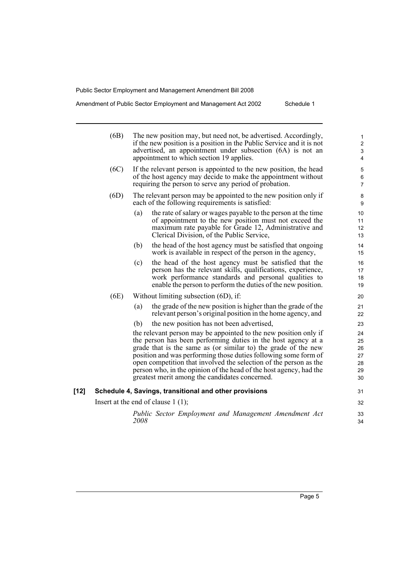Amendment of Public Sector Employment and Management Act 2002 Schedule 1

|      | (6B)                                 | The new position may, but need not, be advertised. Accordingly,<br>if the new position is a position in the Public Service and it is not<br>advertised, an appointment under subsection (6A) is not an<br>appointment to which section 19 applies.                                                                                          | 1<br>$\overline{\mathbf{c}}$<br>3<br>4 |
|------|--------------------------------------|---------------------------------------------------------------------------------------------------------------------------------------------------------------------------------------------------------------------------------------------------------------------------------------------------------------------------------------------|----------------------------------------|
|      | (6C)                                 | If the relevant person is appointed to the new position, the head<br>of the host agency may decide to make the appointment without<br>requiring the person to serve any period of probation.                                                                                                                                                | 5<br>6<br>7                            |
|      | (6D)                                 | The relevant person may be appointed to the new position only if<br>each of the following requirements is satisfied:                                                                                                                                                                                                                        | 8<br>9                                 |
|      |                                      | the rate of salary or wages payable to the person at the time<br>(a)<br>of appointment to the new position must not exceed the<br>maximum rate payable for Grade 12, Administrative and<br>Clerical Division, of the Public Service,                                                                                                        | 10<br>11<br>12<br>13                   |
|      |                                      | the head of the host agency must be satisfied that ongoing<br>(b)<br>work is available in respect of the person in the agency,                                                                                                                                                                                                              | 14<br>15                               |
|      |                                      | the head of the host agency must be satisfied that the<br>(c)<br>person has the relevant skills, qualifications, experience,<br>work performance standards and personal qualities to<br>enable the person to perform the duties of the new position.                                                                                        | 16<br>17<br>18<br>19                   |
|      | (6E)                                 | Without limiting subsection $(6D)$ , if:                                                                                                                                                                                                                                                                                                    | 20                                     |
|      |                                      | the grade of the new position is higher than the grade of the<br>(a)<br>relevant person's original position in the home agency, and                                                                                                                                                                                                         | 21<br>22                               |
|      |                                      | the new position has not been advertised,<br>(b)                                                                                                                                                                                                                                                                                            | 23                                     |
|      |                                      | the relevant person may be appointed to the new position only if<br>the person has been performing duties in the host agency at a<br>grade that is the same as (or similar to) the grade of the new<br>position and was performing those duties following some form of<br>open competition that involved the selection of the person as the | 24<br>25<br>26<br>27<br>28             |
|      |                                      | person who, in the opinion of the head of the host agency, had the<br>greatest merit among the candidates concerned.                                                                                                                                                                                                                        | 29<br>30                               |
| [12] |                                      | Schedule 4, Savings, transitional and other provisions                                                                                                                                                                                                                                                                                      | 31                                     |
|      | Insert at the end of clause $1(1)$ ; |                                                                                                                                                                                                                                                                                                                                             |                                        |
|      |                                      | Public Sector Employment and Management Amendment Act<br>2008                                                                                                                                                                                                                                                                               | 33<br>34                               |
|      |                                      |                                                                                                                                                                                                                                                                                                                                             |                                        |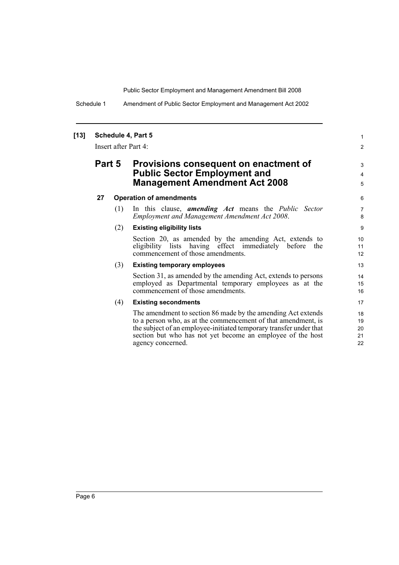Schedule 1 Amendment of Public Sector Employment and Management Act 2002

#### **[13] Schedule 4, Part 5**

Insert after Part 4:

### **Part 5 Provisions consequent on enactment of Public Sector Employment and Management Amendment Act 2008**

#### **27 Operation of amendments**

(1) In this clause, *amending Act* means the *Public Sector Employment and Management Amendment Act 2008*.

#### (2) **Existing eligibility lists**

Section 20, as amended by the amending Act, extends to eligibility lists having effect immediately before the commencement of those amendments.

1 2

3 4 5

#### (3) **Existing temporary employees**

Section 31, as amended by the amending Act, extends to persons employed as Departmental temporary employees as at the commencement of those amendments.

#### (4) **Existing secondments**

The amendment to section 86 made by the amending Act extends to a person who, as at the commencement of that amendment, is the subject of an employee-initiated temporary transfer under that section but who has not yet become an employee of the host agency concerned.